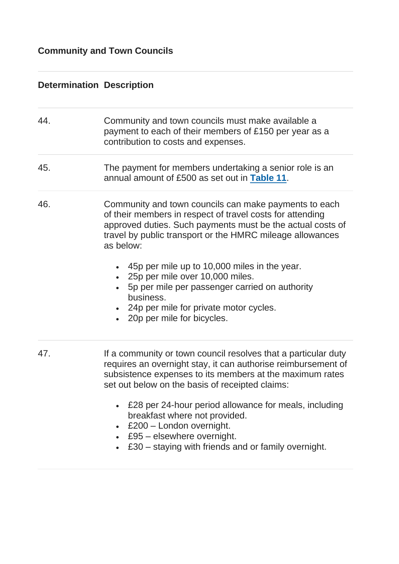## **Determination Description**

| 44. | Community and town councils must make available a<br>payment to each of their members of £150 per year as a<br>contribution to costs and expenses.                                                                                                         |
|-----|------------------------------------------------------------------------------------------------------------------------------------------------------------------------------------------------------------------------------------------------------------|
| 45. | The payment for members undertaking a senior role is an<br>annual amount of £500 as set out in Table 11.                                                                                                                                                   |
| 46. | Community and town councils can make payments to each<br>of their members in respect of travel costs for attending<br>approved duties. Such payments must be the actual costs of<br>travel by public transport or the HMRC mileage allowances<br>as below: |
|     | • 45p per mile up to 10,000 miles in the year.<br>25p per mile over 10,000 miles.<br>5p per mile per passenger carried on authority<br>business.<br>• 24p per mile for private motor cycles.<br>• 20p per mile for bicycles.                               |
| 47. | If a community or town council resolves that a particular duty<br>requires an overnight stay, it can authorise reimbursement of<br>subsistence expenses to its members at the maximum rates<br>set out below on the basis of receipted claims:             |
|     | £28 per 24-hour period allowance for meals, including<br>breakfast where not provided.<br>£200 - London overnight.<br>£95 - elsewhere overnight.<br>£30 – staying with friends and or family overnight.                                                    |